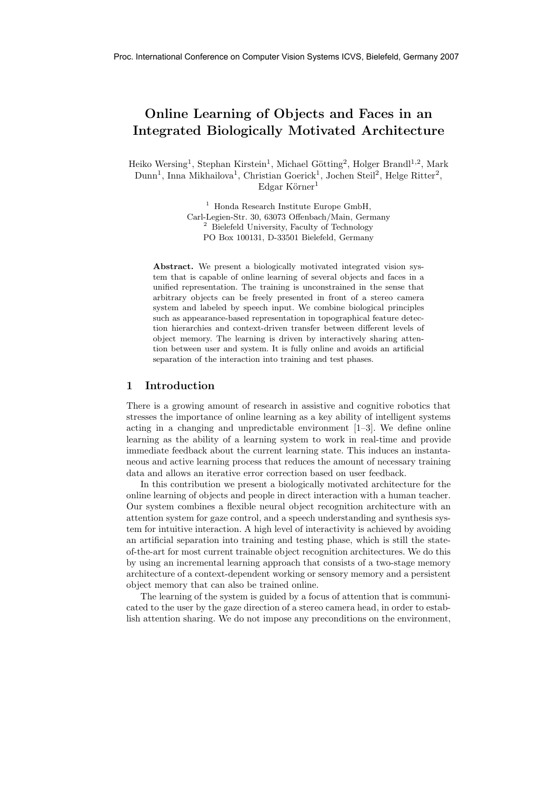# Online Learning of Objects and Faces in an Integrated Biologically Motivated Architecture

Heiko Wersing<sup>1</sup>, Stephan Kirstein<sup>1</sup>, Michael Götting<sup>2</sup>, Holger Brandl<sup>1,2</sup>, Mark Dunn<sup>1</sup>, Inna Mikhailova<sup>1</sup>, Christian Goerick<sup>1</sup>, Jochen Steil<sup>2</sup>, Helge Ritter<sup>2</sup>,  $Edgar Körner<sup>1</sup>$ 

> <sup>1</sup> Honda Research Institute Europe GmbH, Carl-Legien-Str. 30, 63073 Offenbach/Main, Germany <sup>2</sup> Bielefeld University, Faculty of Technology PO Box 100131, D-33501 Bielefeld, Germany

Abstract. We present a biologically motivated integrated vision system that is capable of online learning of several objects and faces in a unified representation. The training is unconstrained in the sense that arbitrary objects can be freely presented in front of a stereo camera system and labeled by speech input. We combine biological principles such as appearance-based representation in topographical feature detection hierarchies and context-driven transfer between different levels of object memory. The learning is driven by interactively sharing attention between user and system. It is fully online and avoids an artificial separation of the interaction into training and test phases.

# 1 Introduction

There is a growing amount of research in assistive and cognitive robotics that stresses the importance of online learning as a key ability of intelligent systems acting in a changing and unpredictable environment [1–3]. We define online learning as the ability of a learning system to work in real-time and provide immediate feedback about the current learning state. This induces an instantaneous and active learning process that reduces the amount of necessary training data and allows an iterative error correction based on user feedback.

In this contribution we present a biologically motivated architecture for the online learning of objects and people in direct interaction with a human teacher. Our system combines a flexible neural object recognition architecture with an attention system for gaze control, and a speech understanding and synthesis system for intuitive interaction. A high level of interactivity is achieved by avoiding an artificial separation into training and testing phase, which is still the stateof-the-art for most current trainable object recognition architectures. We do this by using an incremental learning approach that consists of a two-stage memory architecture of a context-dependent working or sensory memory and a persistent object memory that can also be trained online.

The learning of the system is guided by a focus of attention that is communicated to the user by the gaze direction of a stereo camera head, in order to establish attention sharing. We do not impose any preconditions on the environment,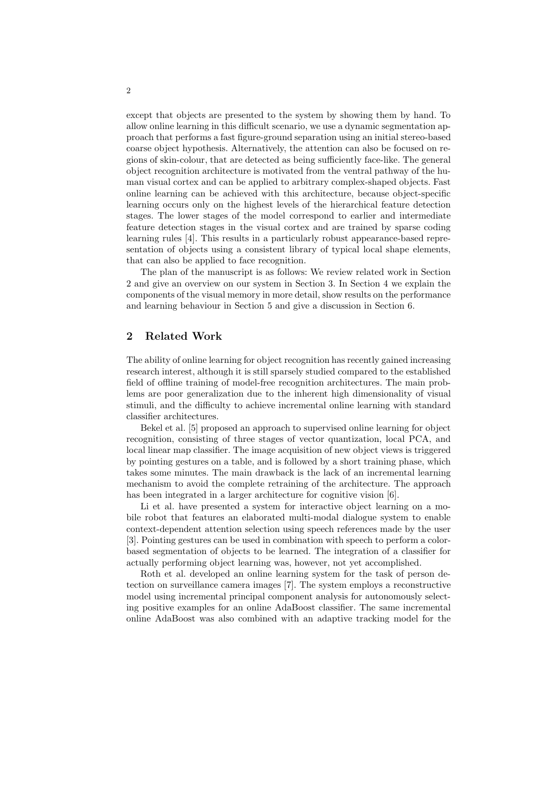except that objects are presented to the system by showing them by hand. To allow online learning in this difficult scenario, we use a dynamic segmentation approach that performs a fast figure-ground separation using an initial stereo-based coarse object hypothesis. Alternatively, the attention can also be focused on regions of skin-colour, that are detected as being sufficiently face-like. The general object recognition architecture is motivated from the ventral pathway of the human visual cortex and can be applied to arbitrary complex-shaped objects. Fast online learning can be achieved with this architecture, because object-specific learning occurs only on the highest levels of the hierarchical feature detection stages. The lower stages of the model correspond to earlier and intermediate feature detection stages in the visual cortex and are trained by sparse coding learning rules [4]. This results in a particularly robust appearance-based representation of objects using a consistent library of typical local shape elements, that can also be applied to face recognition.

The plan of the manuscript is as follows: We review related work in Section 2 and give an overview on our system in Section 3. In Section 4 we explain the components of the visual memory in more detail, show results on the performance and learning behaviour in Section 5 and give a discussion in Section 6.

## 2 Related Work

The ability of online learning for object recognition has recently gained increasing research interest, although it is still sparsely studied compared to the established field of offline training of model-free recognition architectures. The main problems are poor generalization due to the inherent high dimensionality of visual stimuli, and the difficulty to achieve incremental online learning with standard classifier architectures.

Bekel et al. [5] proposed an approach to supervised online learning for object recognition, consisting of three stages of vector quantization, local PCA, and local linear map classifier. The image acquisition of new object views is triggered by pointing gestures on a table, and is followed by a short training phase, which takes some minutes. The main drawback is the lack of an incremental learning mechanism to avoid the complete retraining of the architecture. The approach has been integrated in a larger architecture for cognitive vision [6].

Li et al. have presented a system for interactive object learning on a mobile robot that features an elaborated multi-modal dialogue system to enable context-dependent attention selection using speech references made by the user [3]. Pointing gestures can be used in combination with speech to perform a colorbased segmentation of objects to be learned. The integration of a classifier for actually performing object learning was, however, not yet accomplished.

Roth et al. developed an online learning system for the task of person detection on surveillance camera images [7]. The system employs a reconstructive model using incremental principal component analysis for autonomously selecting positive examples for an online AdaBoost classifier. The same incremental online AdaBoost was also combined with an adaptive tracking model for the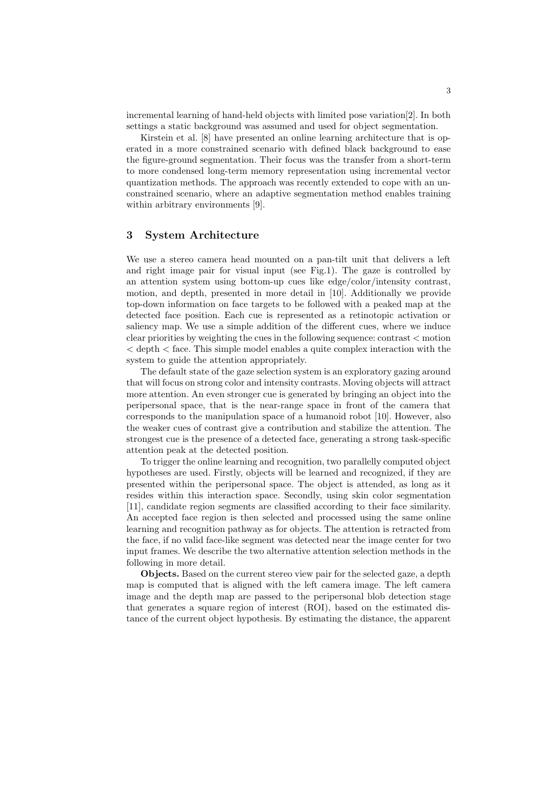incremental learning of hand-held objects with limited pose variation[2]. In both settings a static background was assumed and used for object segmentation.

Kirstein et al. [8] have presented an online learning architecture that is operated in a more constrained scenario with defined black background to ease the figure-ground segmentation. Their focus was the transfer from a short-term to more condensed long-term memory representation using incremental vector quantization methods. The approach was recently extended to cope with an unconstrained scenario, where an adaptive segmentation method enables training within arbitrary environments [9].

#### 3 System Architecture

We use a stereo camera head mounted on a pan-tilt unit that delivers a left and right image pair for visual input (see Fig.1). The gaze is controlled by an attention system using bottom-up cues like edge/color/intensity contrast, motion, and depth, presented in more detail in [10]. Additionally we provide top-down information on face targets to be followed with a peaked map at the detected face position. Each cue is represented as a retinotopic activation or saliency map. We use a simple addition of the different cues, where we induce clear priorities by weighting the cues in the following sequence: contrast < motion < depth < face. This simple model enables a quite complex interaction with the system to guide the attention appropriately.

The default state of the gaze selection system is an exploratory gazing around that will focus on strong color and intensity contrasts. Moving objects will attract more attention. An even stronger cue is generated by bringing an object into the peripersonal space, that is the near-range space in front of the camera that corresponds to the manipulation space of a humanoid robot [10]. However, also the weaker cues of contrast give a contribution and stabilize the attention. The strongest cue is the presence of a detected face, generating a strong task-specific attention peak at the detected position.

To trigger the online learning and recognition, two parallelly computed object hypotheses are used. Firstly, objects will be learned and recognized, if they are presented within the peripersonal space. The object is attended, as long as it resides within this interaction space. Secondly, using skin color segmentation [11], candidate region segments are classified according to their face similarity. An accepted face region is then selected and processed using the same online learning and recognition pathway as for objects. The attention is retracted from the face, if no valid face-like segment was detected near the image center for two input frames. We describe the two alternative attention selection methods in the following in more detail.

Objects. Based on the current stereo view pair for the selected gaze, a depth map is computed that is aligned with the left camera image. The left camera image and the depth map are passed to the peripersonal blob detection stage that generates a square region of interest (ROI), based on the estimated distance of the current object hypothesis. By estimating the distance, the apparent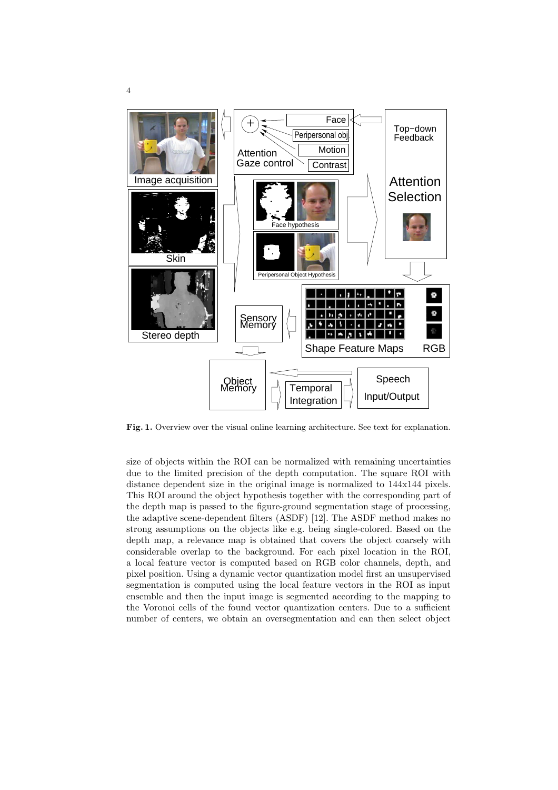

Fig. 1. Overview over the visual online learning architecture. See text for explanation.

size of objects within the ROI can be normalized with remaining uncertainties due to the limited precision of the depth computation. The square ROI with distance dependent size in the original image is normalized to 144x144 pixels. This ROI around the object hypothesis together with the corresponding part of the depth map is passed to the figure-ground segmentation stage of processing, the adaptive scene-dependent filters (ASDF) [12]. The ASDF method makes no strong assumptions on the objects like e.g. being single-colored. Based on the depth map, a relevance map is obtained that covers the object coarsely with considerable overlap to the background. For each pixel location in the ROI, a local feature vector is computed based on RGB color channels, depth, and pixel position. Using a dynamic vector quantization model first an unsupervised segmentation is computed using the local feature vectors in the ROI as input ensemble and then the input image is segmented according to the mapping to the Voronoi cells of the found vector quantization centers. Due to a sufficient number of centers, we obtain an oversegmentation and can then select object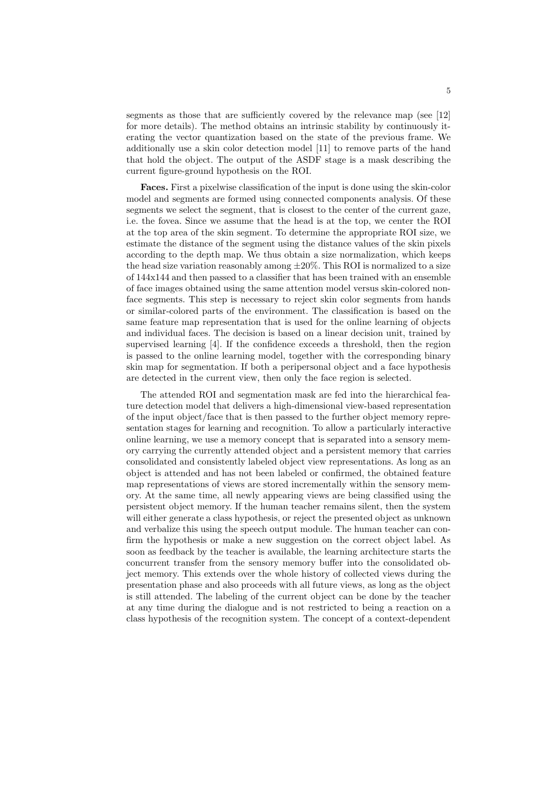segments as those that are sufficiently covered by the relevance map (see [12] for more details). The method obtains an intrinsic stability by continuously iterating the vector quantization based on the state of the previous frame. We additionally use a skin color detection model [11] to remove parts of the hand that hold the object. The output of the ASDF stage is a mask describing the current figure-ground hypothesis on the ROI.

Faces. First a pixelwise classification of the input is done using the skin-color model and segments are formed using connected components analysis. Of these segments we select the segment, that is closest to the center of the current gaze, i.e. the fovea. Since we assume that the head is at the top, we center the ROI at the top area of the skin segment. To determine the appropriate ROI size, we estimate the distance of the segment using the distance values of the skin pixels according to the depth map. We thus obtain a size normalization, which keeps the head size variation reasonably among  $\pm 20\%$ . This ROI is normalized to a size of 144x144 and then passed to a classifier that has been trained with an ensemble of face images obtained using the same attention model versus skin-colored nonface segments. This step is necessary to reject skin color segments from hands or similar-colored parts of the environment. The classification is based on the same feature map representation that is used for the online learning of objects and individual faces. The decision is based on a linear decision unit, trained by supervised learning [4]. If the confidence exceeds a threshold, then the region is passed to the online learning model, together with the corresponding binary skin map for segmentation. If both a peripersonal object and a face hypothesis are detected in the current view, then only the face region is selected.

The attended ROI and segmentation mask are fed into the hierarchical feature detection model that delivers a high-dimensional view-based representation of the input object/face that is then passed to the further object memory representation stages for learning and recognition. To allow a particularly interactive online learning, we use a memory concept that is separated into a sensory memory carrying the currently attended object and a persistent memory that carries consolidated and consistently labeled object view representations. As long as an object is attended and has not been labeled or confirmed, the obtained feature map representations of views are stored incrementally within the sensory memory. At the same time, all newly appearing views are being classified using the persistent object memory. If the human teacher remains silent, then the system will either generate a class hypothesis, or reject the presented object as unknown and verbalize this using the speech output module. The human teacher can confirm the hypothesis or make a new suggestion on the correct object label. As soon as feedback by the teacher is available, the learning architecture starts the concurrent transfer from the sensory memory buffer into the consolidated object memory. This extends over the whole history of collected views during the presentation phase and also proceeds with all future views, as long as the object is still attended. The labeling of the current object can be done by the teacher at any time during the dialogue and is not restricted to being a reaction on a class hypothesis of the recognition system. The concept of a context-dependent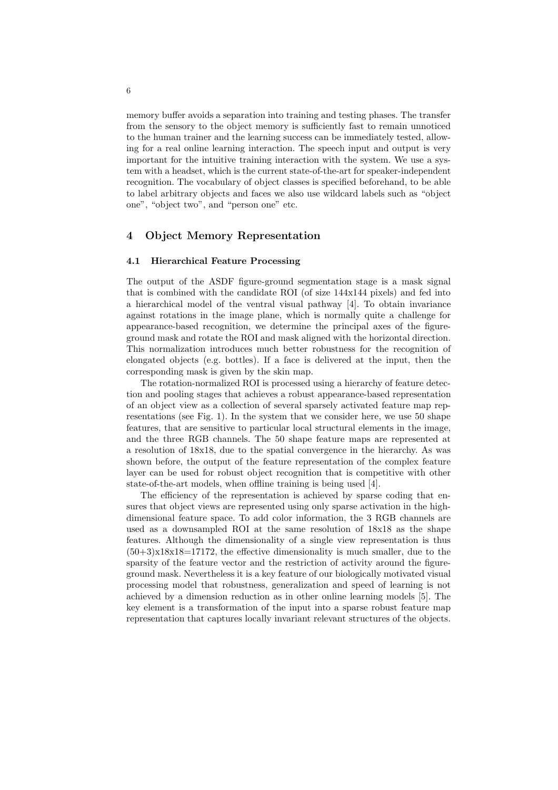memory buffer avoids a separation into training and testing phases. The transfer from the sensory to the object memory is sufficiently fast to remain unnoticed to the human trainer and the learning success can be immediately tested, allowing for a real online learning interaction. The speech input and output is very important for the intuitive training interaction with the system. We use a system with a headset, which is the current state-of-the-art for speaker-independent recognition. The vocabulary of object classes is specified beforehand, to be able to label arbitrary objects and faces we also use wildcard labels such as "object one", "object two", and "person one" etc.

#### 4 Object Memory Representation

## 4.1 Hierarchical Feature Processing

The output of the ASDF figure-ground segmentation stage is a mask signal that is combined with the candidate ROI (of size 144x144 pixels) and fed into a hierarchical model of the ventral visual pathway [4]. To obtain invariance against rotations in the image plane, which is normally quite a challenge for appearance-based recognition, we determine the principal axes of the figureground mask and rotate the ROI and mask aligned with the horizontal direction. This normalization introduces much better robustness for the recognition of elongated objects (e.g. bottles). If a face is delivered at the input, then the corresponding mask is given by the skin map.

The rotation-normalized ROI is processed using a hierarchy of feature detection and pooling stages that achieves a robust appearance-based representation of an object view as a collection of several sparsely activated feature map representations (see Fig. 1). In the system that we consider here, we use 50 shape features, that are sensitive to particular local structural elements in the image, and the three RGB channels. The 50 shape feature maps are represented at a resolution of 18x18, due to the spatial convergence in the hierarchy. As was shown before, the output of the feature representation of the complex feature layer can be used for robust object recognition that is competitive with other state-of-the-art models, when offline training is being used [4].

The efficiency of the representation is achieved by sparse coding that ensures that object views are represented using only sparse activation in the highdimensional feature space. To add color information, the 3 RGB channels are used as a downsampled ROI at the same resolution of 18x18 as the shape features. Although the dimensionality of a single view representation is thus  $(50+3)x18x18=17172$ , the effective dimensionality is much smaller, due to the sparsity of the feature vector and the restriction of activity around the figureground mask. Nevertheless it is a key feature of our biologically motivated visual processing model that robustness, generalization and speed of learning is not achieved by a dimension reduction as in other online learning models [5]. The key element is a transformation of the input into a sparse robust feature map representation that captures locally invariant relevant structures of the objects.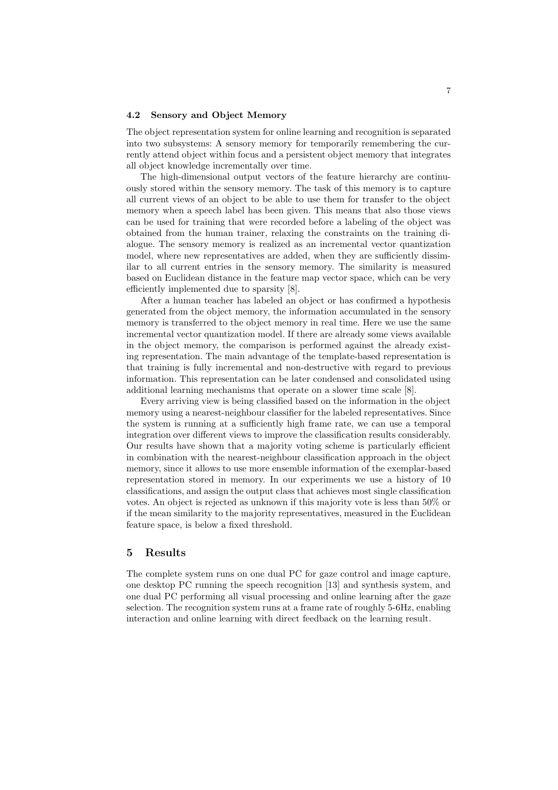#### 4.2 Sensory and Object Memory

The object representation system for online learning and recognition is separated into two subsystems: A sensory memory for temporarily remembering the currently attend object within focus and a persistent object memory that integrates all object knowledge incrementally over time.

The high-dimensional output vectors of the feature hierarchy are continuously stored within the sensory memory. The task of this memory is to capture all current views of an object to be able to use them for transfer to the object memory when a speech label has been given. This means that also those views can be used for training that were recorded before a labeling of the object was obtained from the human trainer, relaxing the constraints on the training dialogue. The sensory memory is realized as an incremental vector quantization model, where new representatives are added, when they are sufficiently dissimilar to all current entries in the sensory memory. The similarity is measured based on Euclidean distance in the feature map vector space, which can be very efficiently implemented due to sparsity [8].

After a human teacher has labeled an object or has confirmed a hypothesis generated from the object memory, the information accumulated in the sensory memory is transferred to the object memory in real time. Here we use the same incremental vector quantization model. If there are already some views available in the object memory, the comparison is performed against the already existing representation. The main advantage of the template-based representation is that training is fully incremental and non-destructive with regard to previous information. This representation can be later condensed and consolidated using additional learning mechanisms that operate on a slower time scale [8].

Every arriving view is being classified based on the information in the object memory using a nearest-neighbour classifier for the labeled representatives. Since the system is running at a sufficiently high frame rate, we can use a temporal integration over different views to improve the classification results considerably. Our results have shown that a majority voting scheme is particularly efficient in combination with the nearest-neighbour classification approach in the object memory, since it allows to use more ensemble information of the exemplar-based representation stored in memory. In our experiments we use a history of 10 classifications, and assign the output class that achieves most single classification votes. An object is rejected as unknown if this majority vote is less than 50% or if the mean similarity to the majority representatives, measured in the Euclidean feature space, is below a fixed threshold.

#### 5 Results

The complete system runs on one dual PC for gaze control and image capture, one desktop PC running the speech recognition [13] and synthesis system, and one dual PC performing all visual processing and online learning after the gaze selection. The recognition system runs at a frame rate of roughly 5-6Hz, enabling interaction and online learning with direct feedback on the learning result.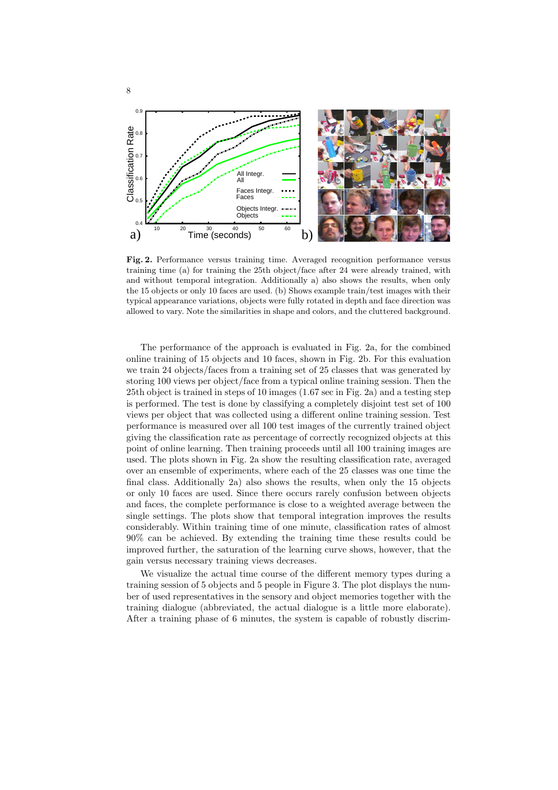

8

Fig. 2. Performance versus training time. Averaged recognition performance versus training time (a) for training the 25th object/face after 24 were already trained, with and without temporal integration. Additionally a) also shows the results, when only the 15 objects or only 10 faces are used. (b) Shows example train/test images with their typical appearance variations, objects were fully rotated in depth and face direction was allowed to vary. Note the similarities in shape and colors, and the cluttered background.

The performance of the approach is evaluated in Fig. 2a, for the combined online training of 15 objects and 10 faces, shown in Fig. 2b. For this evaluation we train 24 objects/faces from a training set of 25 classes that was generated by storing 100 views per object/face from a typical online training session. Then the 25th object is trained in steps of 10 images (1.67 sec in Fig. 2a) and a testing step is performed. The test is done by classifying a completely disjoint test set of 100 views per object that was collected using a different online training session. Test performance is measured over all 100 test images of the currently trained object giving the classification rate as percentage of correctly recognized objects at this point of online learning. Then training proceeds until all 100 training images are used. The plots shown in Fig. 2a show the resulting classification rate, averaged over an ensemble of experiments, where each of the 25 classes was one time the final class. Additionally 2a) also shows the results, when only the 15 objects or only 10 faces are used. Since there occurs rarely confusion between objects and faces, the complete performance is close to a weighted average between the single settings. The plots show that temporal integration improves the results considerably. Within training time of one minute, classification rates of almost 90% can be achieved. By extending the training time these results could be improved further, the saturation of the learning curve shows, however, that the gain versus necessary training views decreases.

We visualize the actual time course of the different memory types during a training session of 5 objects and 5 people in Figure 3. The plot displays the number of used representatives in the sensory and object memories together with the training dialogue (abbreviated, the actual dialogue is a little more elaborate). After a training phase of 6 minutes, the system is capable of robustly discrim-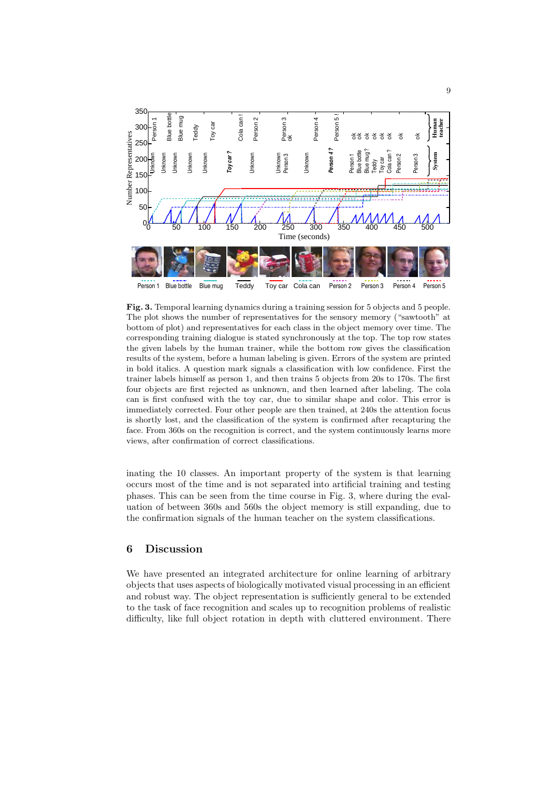

Fig. 3. Temporal learning dynamics during a training session for 5 objects and 5 people. The plot shows the number of representatives for the sensory memory ("sawtooth" at bottom of plot) and representatives for each class in the object memory over time. The corresponding training dialogue is stated synchronously at the top. The top row states the given labels by the human trainer, while the bottom row gives the classification results of the system, before a human labeling is given. Errors of the system are printed in bold italics. A question mark signals a classification with low confidence. First the trainer labels himself as person 1, and then trains 5 objects from 20s to 170s. The first four objects are first rejected as unknown, and then learned after labeling. The cola can is first confused with the toy car, due to similar shape and color. This error is immediately corrected. Four other people are then trained, at 240s the attention focus is shortly lost, and the classification of the system is confirmed after recapturing the face. From 360s on the recognition is correct, and the system continuously learns more views, after confirmation of correct classifications.

inating the 10 classes. An important property of the system is that learning occurs most of the time and is not separated into artificial training and testing phases. This can be seen from the time course in Fig. 3, where during the evaluation of between 360s and 560s the object memory is still expanding, due to the confirmation signals of the human teacher on the system classifications.

# 6 Discussion

We have presented an integrated architecture for online learning of arbitrary objects that uses aspects of biologically motivated visual processing in an efficient and robust way. The object representation is sufficiently general to be extended to the task of face recognition and scales up to recognition problems of realistic difficulty, like full object rotation in depth with cluttered environment. There